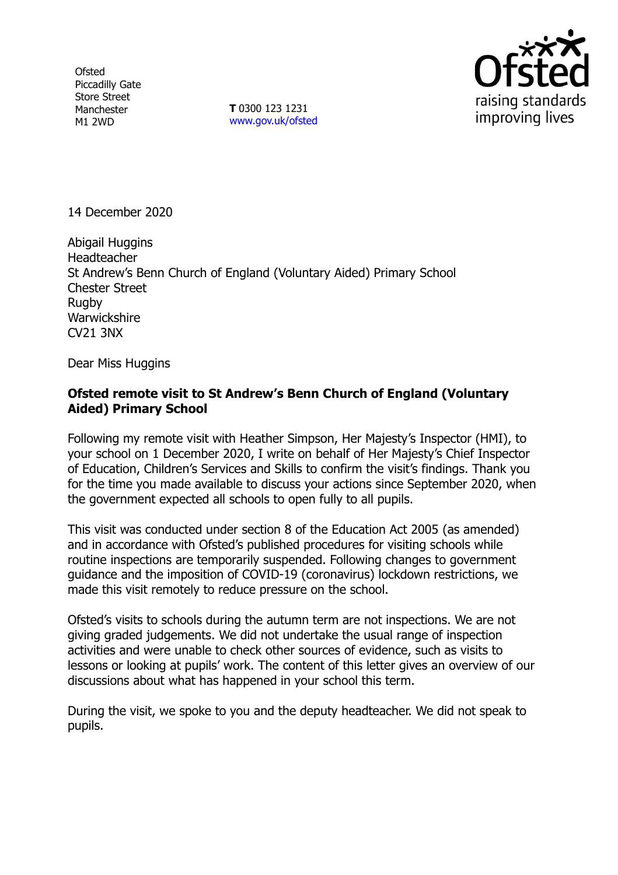**Ofsted** Piccadilly Gate Store Street Manchester M1 2WD

**T** 0300 123 1231 [www.gov.uk/ofsted](http://www.gov.uk/ofsted)



14 December 2020

Abigail Huggins **Headteacher** St Andrew's Benn Church of England (Voluntary Aided) Primary School Chester Street Rugby **Warwickshire** CV21 3NX

Dear Miss Huggins

## **Ofsted remote visit to St Andrew's Benn Church of England (Voluntary Aided) Primary School**

Following my remote visit with Heather Simpson, Her Majesty's Inspector (HMI), to your school on 1 December 2020, I write on behalf of Her Majesty's Chief Inspector of Education, Children's Services and Skills to confirm the visit's findings. Thank you for the time you made available to discuss your actions since September 2020, when the government expected all schools to open fully to all pupils.

This visit was conducted under section 8 of the Education Act 2005 (as amended) and in accordance with Ofsted's published procedures for visiting schools while routine inspections are temporarily suspended. Following changes to government guidance and the imposition of COVID-19 (coronavirus) lockdown restrictions, we made this visit remotely to reduce pressure on the school.

Ofsted's visits to schools during the autumn term are not inspections. We are not giving graded judgements. We did not undertake the usual range of inspection activities and were unable to check other sources of evidence, such as visits to lessons or looking at pupils' work. The content of this letter gives an overview of our discussions about what has happened in your school this term.

During the visit, we spoke to you and the deputy headteacher. We did not speak to pupils.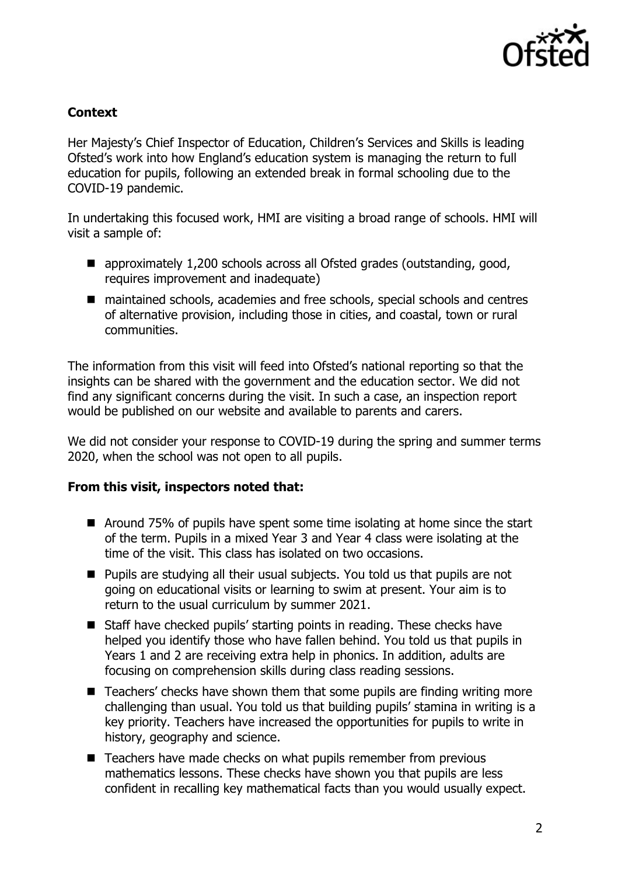

## **Context**

Her Majesty's Chief Inspector of Education, Children's Services and Skills is leading Ofsted's work into how England's education system is managing the return to full education for pupils, following an extended break in formal schooling due to the COVID-19 pandemic.

In undertaking this focused work, HMI are visiting a broad range of schools. HMI will visit a sample of:

- approximately 1,200 schools across all Ofsted grades (outstanding, good, requires improvement and inadequate)
- maintained schools, academies and free schools, special schools and centres of alternative provision, including those in cities, and coastal, town or rural communities.

The information from this visit will feed into Ofsted's national reporting so that the insights can be shared with the government and the education sector. We did not find any significant concerns during the visit. In such a case, an inspection report would be published on our website and available to parents and carers.

We did not consider your response to COVID-19 during the spring and summer terms 2020, when the school was not open to all pupils.

## **From this visit, inspectors noted that:**

- Around 75% of pupils have spent some time isolating at home since the start of the term. Pupils in a mixed Year 3 and Year 4 class were isolating at the time of the visit. This class has isolated on two occasions.
- Pupils are studying all their usual subjects. You told us that pupils are not going on educational visits or learning to swim at present. Your aim is to return to the usual curriculum by summer 2021.
- Staff have checked pupils' starting points in reading. These checks have helped you identify those who have fallen behind. You told us that pupils in Years 1 and 2 are receiving extra help in phonics. In addition, adults are focusing on comprehension skills during class reading sessions.
- Teachers' checks have shown them that some pupils are finding writing more challenging than usual. You told us that building pupils' stamina in writing is a key priority. Teachers have increased the opportunities for pupils to write in history, geography and science.
- Teachers have made checks on what pupils remember from previous mathematics lessons. These checks have shown you that pupils are less confident in recalling key mathematical facts than you would usually expect.